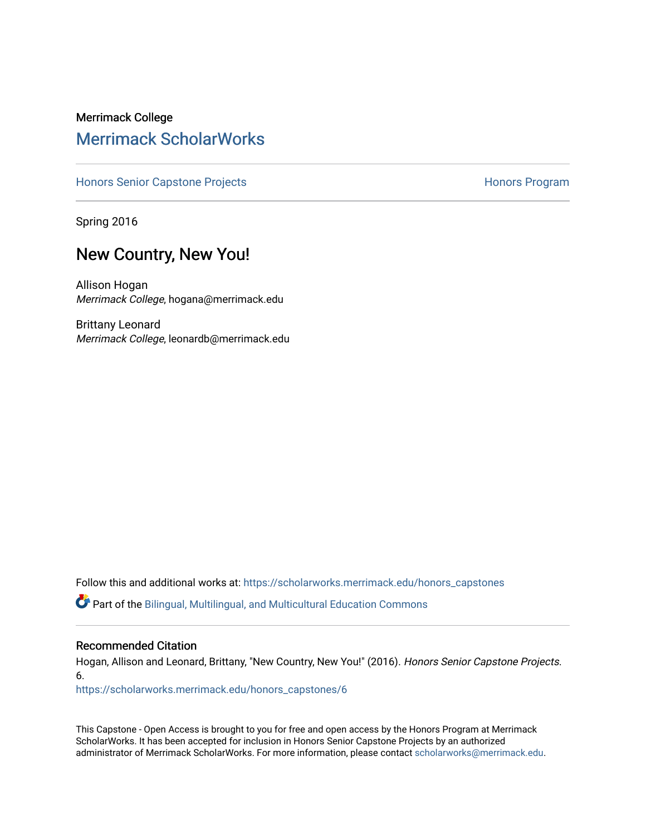## Merrimack College [Merrimack ScholarWorks](https://scholarworks.merrimack.edu/)

[Honors Senior Capstone Projects](https://scholarworks.merrimack.edu/honors_capstones) **Honors Program** Honors Program

Spring 2016

## New Country, New You!

Allison Hogan Merrimack College, hogana@merrimack.edu

Brittany Leonard Merrimack College, leonardb@merrimack.edu

Follow this and additional works at: [https://scholarworks.merrimack.edu/honors\\_capstones](https://scholarworks.merrimack.edu/honors_capstones?utm_source=scholarworks.merrimack.edu%2Fhonors_capstones%2F6&utm_medium=PDF&utm_campaign=PDFCoverPages)

Part of the [Bilingual, Multilingual, and Multicultural Education Commons](http://network.bepress.com/hgg/discipline/785?utm_source=scholarworks.merrimack.edu%2Fhonors_capstones%2F6&utm_medium=PDF&utm_campaign=PDFCoverPages) 

## Recommended Citation

Hogan, Allison and Leonard, Brittany, "New Country, New You!" (2016). Honors Senior Capstone Projects. 6.

[https://scholarworks.merrimack.edu/honors\\_capstones/6](https://scholarworks.merrimack.edu/honors_capstones/6?utm_source=scholarworks.merrimack.edu%2Fhonors_capstones%2F6&utm_medium=PDF&utm_campaign=PDFCoverPages)

This Capstone - Open Access is brought to you for free and open access by the Honors Program at Merrimack ScholarWorks. It has been accepted for inclusion in Honors Senior Capstone Projects by an authorized administrator of Merrimack ScholarWorks. For more information, please contact [scholarworks@merrimack.edu](mailto:scholarworks@merrimack.edu).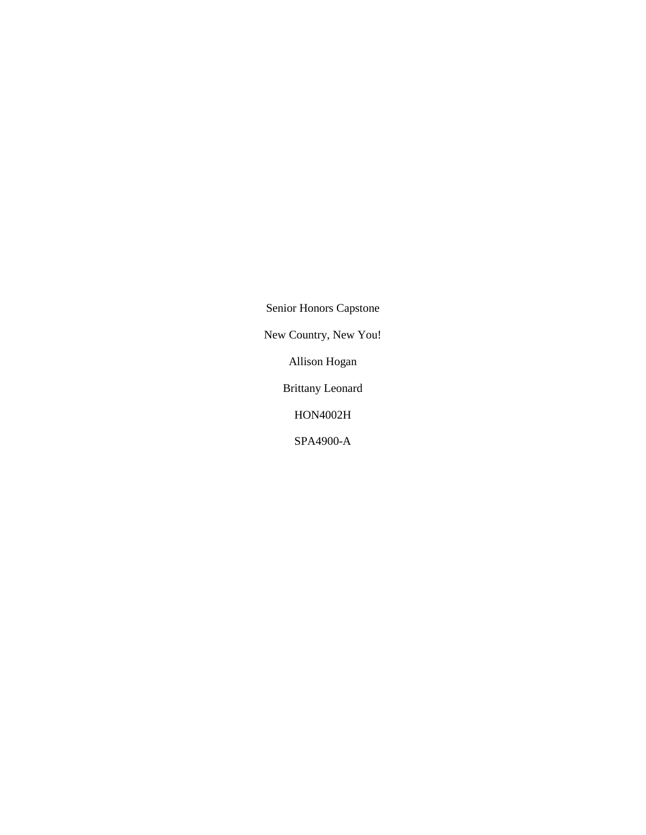Senior Honors Capstone New Country, New You! Allison Hogan Brittany Leonard HON4002H SPA4900-A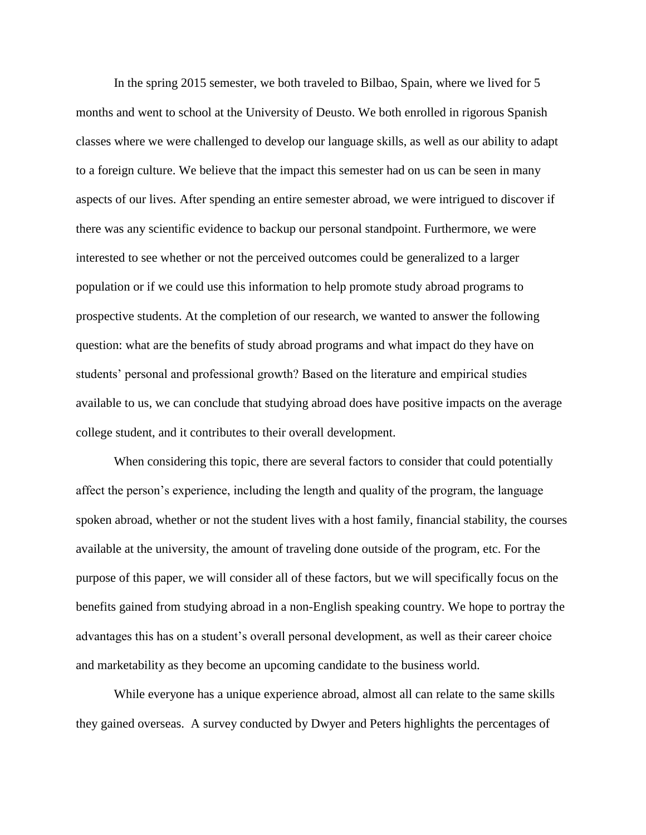In the spring 2015 semester, we both traveled to Bilbao, Spain, where we lived for 5 months and went to school at the University of Deusto. We both enrolled in rigorous Spanish classes where we were challenged to develop our language skills, as well as our ability to adapt to a foreign culture. We believe that the impact this semester had on us can be seen in many aspects of our lives. After spending an entire semester abroad, we were intrigued to discover if there was any scientific evidence to backup our personal standpoint. Furthermore, we were interested to see whether or not the perceived outcomes could be generalized to a larger population or if we could use this information to help promote study abroad programs to prospective students. At the completion of our research, we wanted to answer the following question: what are the benefits of study abroad programs and what impact do they have on students' personal and professional growth? Based on the literature and empirical studies available to us, we can conclude that studying abroad does have positive impacts on the average college student, and it contributes to their overall development.

When considering this topic, there are several factors to consider that could potentially affect the person's experience, including the length and quality of the program, the language spoken abroad, whether or not the student lives with a host family, financial stability, the courses available at the university, the amount of traveling done outside of the program, etc. For the purpose of this paper, we will consider all of these factors, but we will specifically focus on the benefits gained from studying abroad in a non-English speaking country. We hope to portray the advantages this has on a student's overall personal development, as well as their career choice and marketability as they become an upcoming candidate to the business world.

While everyone has a unique experience abroad, almost all can relate to the same skills they gained overseas. A survey conducted by Dwyer and Peters highlights the percentages of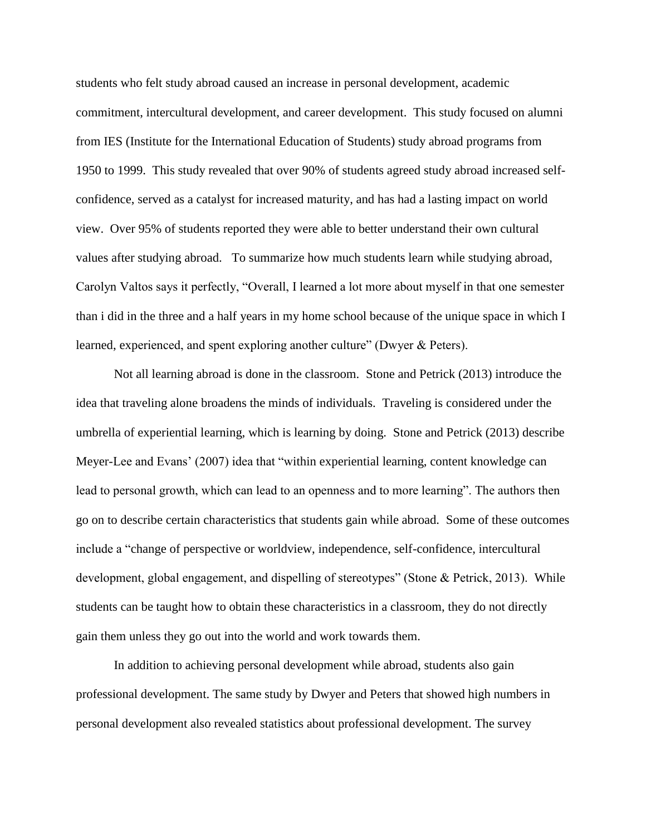students who felt study abroad caused an increase in personal development, academic commitment, intercultural development, and career development. This study focused on alumni from IES (Institute for the International Education of Students) study abroad programs from 1950 to 1999. This study revealed that over 90% of students agreed study abroad increased selfconfidence, served as a catalyst for increased maturity, and has had a lasting impact on world view. Over 95% of students reported they were able to better understand their own cultural values after studying abroad. To summarize how much students learn while studying abroad, Carolyn Valtos says it perfectly, "Overall, I learned a lot more about myself in that one semester than i did in the three and a half years in my home school because of the unique space in which I learned, experienced, and spent exploring another culture" (Dwyer & Peters).

Not all learning abroad is done in the classroom. Stone and Petrick (2013) introduce the idea that traveling alone broadens the minds of individuals. Traveling is considered under the umbrella of experiential learning, which is learning by doing. Stone and Petrick (2013) describe Meyer-Lee and Evans' (2007) idea that "within experiential learning, content knowledge can lead to personal growth, which can lead to an openness and to more learning". The authors then go on to describe certain characteristics that students gain while abroad. Some of these outcomes include a "change of perspective or worldview, independence, self-confidence, intercultural development, global engagement, and dispelling of stereotypes" (Stone & Petrick, 2013). While students can be taught how to obtain these characteristics in a classroom, they do not directly gain them unless they go out into the world and work towards them.

In addition to achieving personal development while abroad, students also gain professional development. The same study by Dwyer and Peters that showed high numbers in personal development also revealed statistics about professional development. The survey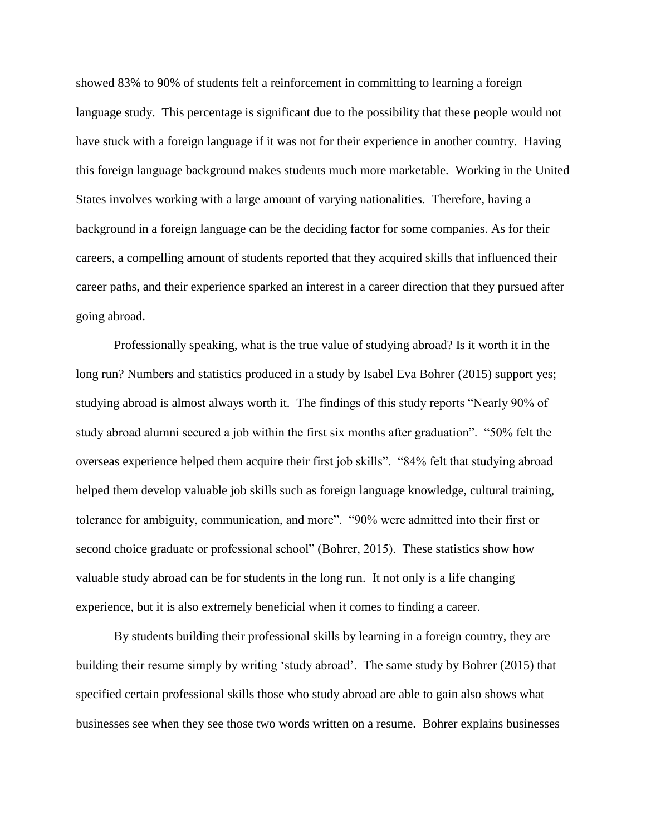showed 83% to 90% of students felt a reinforcement in committing to learning a foreign language study. This percentage is significant due to the possibility that these people would not have stuck with a foreign language if it was not for their experience in another country. Having this foreign language background makes students much more marketable. Working in the United States involves working with a large amount of varying nationalities. Therefore, having a background in a foreign language can be the deciding factor for some companies. As for their careers, a compelling amount of students reported that they acquired skills that influenced their career paths, and their experience sparked an interest in a career direction that they pursued after going abroad.

Professionally speaking, what is the true value of studying abroad? Is it worth it in the long run? Numbers and statistics produced in a study by Isabel Eva Bohrer (2015) support yes; studying abroad is almost always worth it. The findings of this study reports "Nearly 90% of study abroad alumni secured a job within the first six months after graduation". "50% felt the overseas experience helped them acquire their first job skills". "84% felt that studying abroad helped them develop valuable job skills such as foreign language knowledge, cultural training, tolerance for ambiguity, communication, and more". "90% were admitted into their first or second choice graduate or professional school" (Bohrer, 2015). These statistics show how valuable study abroad can be for students in the long run. It not only is a life changing experience, but it is also extremely beneficial when it comes to finding a career.

By students building their professional skills by learning in a foreign country, they are building their resume simply by writing 'study abroad'. The same study by Bohrer (2015) that specified certain professional skills those who study abroad are able to gain also shows what businesses see when they see those two words written on a resume. Bohrer explains businesses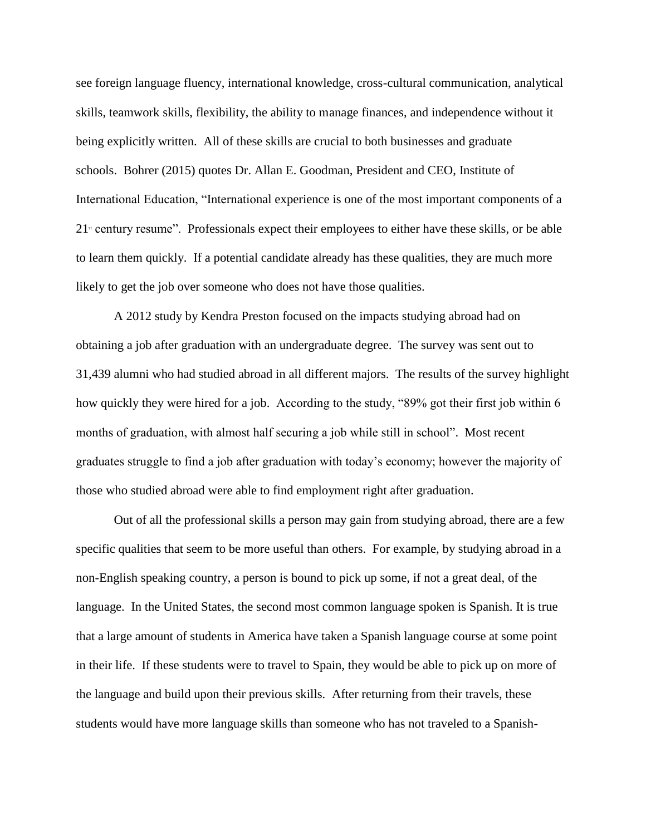see foreign language fluency, international knowledge, cross-cultural communication, analytical skills, teamwork skills, flexibility, the ability to manage finances, and independence without it being explicitly written. All of these skills are crucial to both businesses and graduate schools. Bohrer (2015) quotes Dr. Allan E. Goodman, President and CEO, Institute of International Education, "International experience is one of the most important components of a  $21<sup>s</sup>$  century resume". Professionals expect their employees to either have these skills, or be able to learn them quickly. If a potential candidate already has these qualities, they are much more likely to get the job over someone who does not have those qualities.

A 2012 study by Kendra Preston focused on the impacts studying abroad had on obtaining a job after graduation with an undergraduate degree. The survey was sent out to 31,439 alumni who had studied abroad in all different majors. The results of the survey highlight how quickly they were hired for a job. According to the study, "89% got their first job within 6 months of graduation, with almost half securing a job while still in school". Most recent graduates struggle to find a job after graduation with today's economy; however the majority of those who studied abroad were able to find employment right after graduation.

Out of all the professional skills a person may gain from studying abroad, there are a few specific qualities that seem to be more useful than others. For example, by studying abroad in a non-English speaking country, a person is bound to pick up some, if not a great deal, of the language. In the United States, the second most common language spoken is Spanish. It is true that a large amount of students in America have taken a Spanish language course at some point in their life. If these students were to travel to Spain, they would be able to pick up on more of the language and build upon their previous skills. After returning from their travels, these students would have more language skills than someone who has not traveled to a Spanish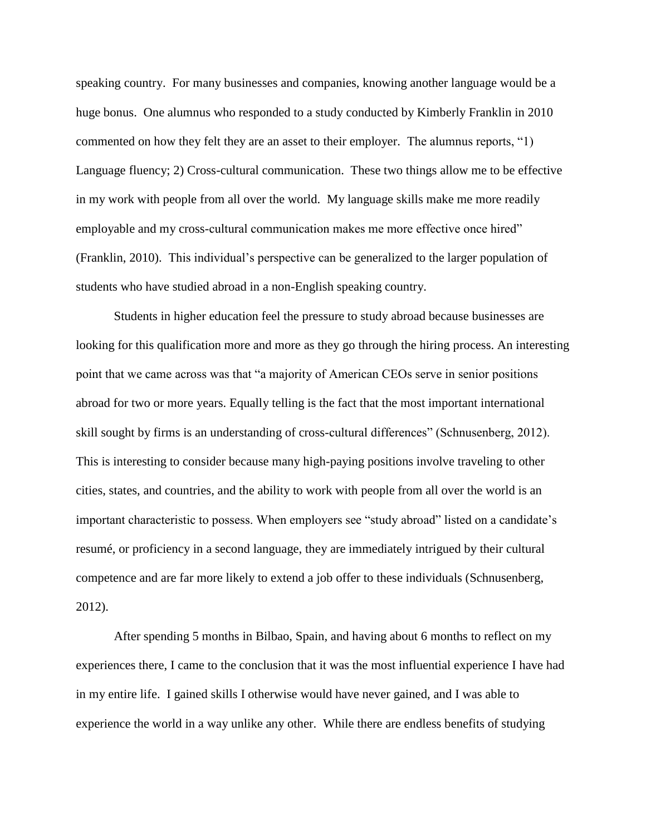speaking country. For many businesses and companies, knowing another language would be a huge bonus. One alumnus who responded to a study conducted by Kimberly Franklin in 2010 commented on how they felt they are an asset to their employer. The alumnus reports, "1) Language fluency; 2) Cross-cultural communication. These two things allow me to be effective in my work with people from all over the world. My language skills make me more readily employable and my cross-cultural communication makes me more effective once hired" (Franklin, 2010). This individual's perspective can be generalized to the larger population of students who have studied abroad in a non-English speaking country.

Students in higher education feel the pressure to study abroad because businesses are looking for this qualification more and more as they go through the hiring process. An interesting point that we came across was that "a majority of American CEOs serve in senior positions abroad for two or more years. Equally telling is the fact that the most important international skill sought by firms is an understanding of cross-cultural differences" (Schnusenberg, 2012). This is interesting to consider because many high-paying positions involve traveling to other cities, states, and countries, and the ability to work with people from all over the world is an important characteristic to possess. When employers see "study abroad" listed on a candidate's resumé, or proficiency in a second language, they are immediately intrigued by their cultural competence and are far more likely to extend a job offer to these individuals (Schnusenberg, 2012).

After spending 5 months in Bilbao, Spain, and having about 6 months to reflect on my experiences there, I came to the conclusion that it was the most influential experience I have had in my entire life. I gained skills I otherwise would have never gained, and I was able to experience the world in a way unlike any other. While there are endless benefits of studying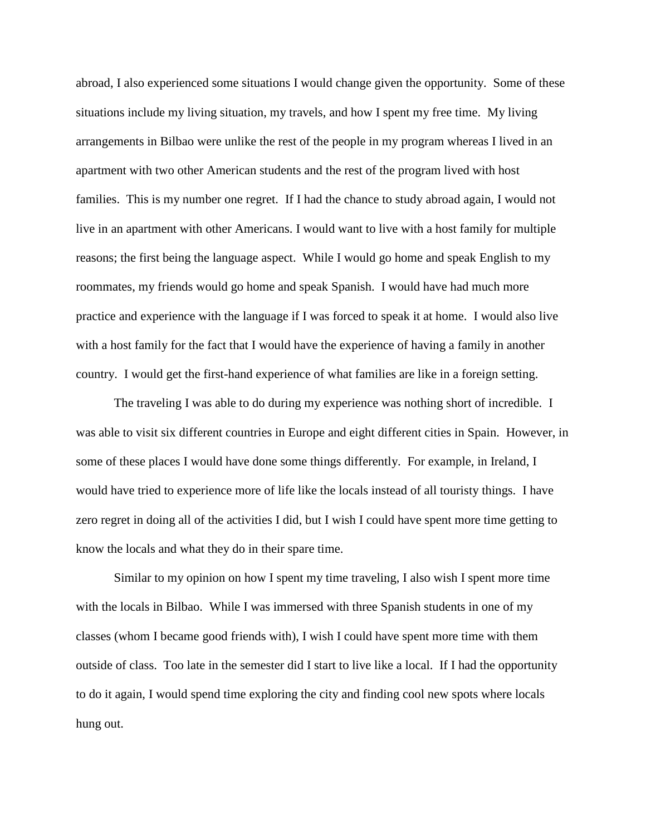abroad, I also experienced some situations I would change given the opportunity. Some of these situations include my living situation, my travels, and how I spent my free time. My living arrangements in Bilbao were unlike the rest of the people in my program whereas I lived in an apartment with two other American students and the rest of the program lived with host families. This is my number one regret. If I had the chance to study abroad again, I would not live in an apartment with other Americans. I would want to live with a host family for multiple reasons; the first being the language aspect. While I would go home and speak English to my roommates, my friends would go home and speak Spanish. I would have had much more practice and experience with the language if I was forced to speak it at home. I would also live with a host family for the fact that I would have the experience of having a family in another country. I would get the first-hand experience of what families are like in a foreign setting.

The traveling I was able to do during my experience was nothing short of incredible. I was able to visit six different countries in Europe and eight different cities in Spain. However, in some of these places I would have done some things differently. For example, in Ireland, I would have tried to experience more of life like the locals instead of all touristy things. I have zero regret in doing all of the activities I did, but I wish I could have spent more time getting to know the locals and what they do in their spare time.

Similar to my opinion on how I spent my time traveling, I also wish I spent more time with the locals in Bilbao. While I was immersed with three Spanish students in one of my classes (whom I became good friends with), I wish I could have spent more time with them outside of class. Too late in the semester did I start to live like a local. If I had the opportunity to do it again, I would spend time exploring the city and finding cool new spots where locals hung out.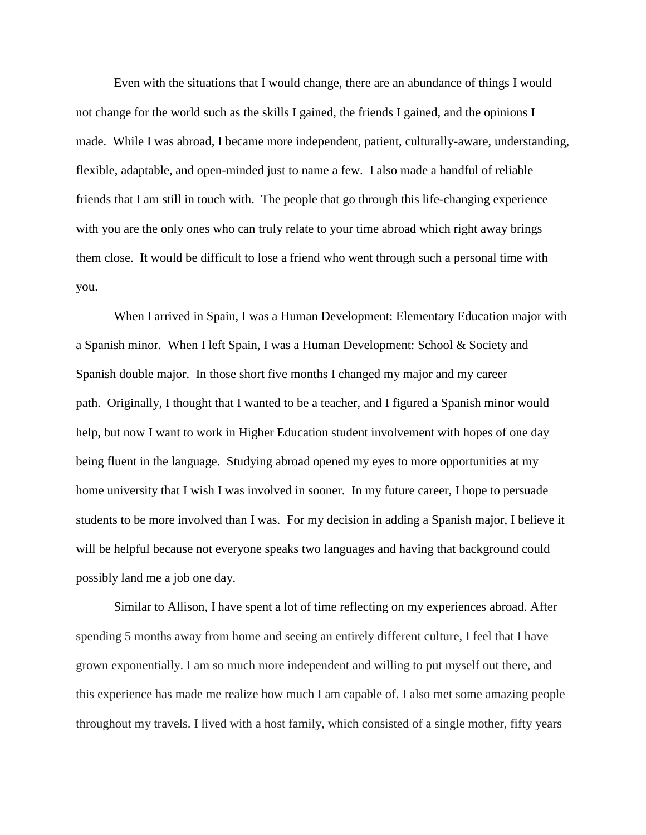Even with the situations that I would change, there are an abundance of things I would not change for the world such as the skills I gained, the friends I gained, and the opinions I made. While I was abroad, I became more independent, patient, culturally-aware, understanding, flexible, adaptable, and open-minded just to name a few. I also made a handful of reliable friends that I am still in touch with. The people that go through this life-changing experience with you are the only ones who can truly relate to your time abroad which right away brings them close. It would be difficult to lose a friend who went through such a personal time with you.

When I arrived in Spain, I was a Human Development: Elementary Education major with a Spanish minor. When I left Spain, I was a Human Development: School & Society and Spanish double major. In those short five months I changed my major and my career path. Originally, I thought that I wanted to be a teacher, and I figured a Spanish minor would help, but now I want to work in Higher Education student involvement with hopes of one day being fluent in the language. Studying abroad opened my eyes to more opportunities at my home university that I wish I was involved in sooner. In my future career, I hope to persuade students to be more involved than I was. For my decision in adding a Spanish major, I believe it will be helpful because not everyone speaks two languages and having that background could possibly land me a job one day.

Similar to Allison, I have spent a lot of time reflecting on my experiences abroad. After spending 5 months away from home and seeing an entirely different culture, I feel that I have grown exponentially. I am so much more independent and willing to put myself out there, and this experience has made me realize how much I am capable of. I also met some amazing people throughout my travels. I lived with a host family, which consisted of a single mother, fifty years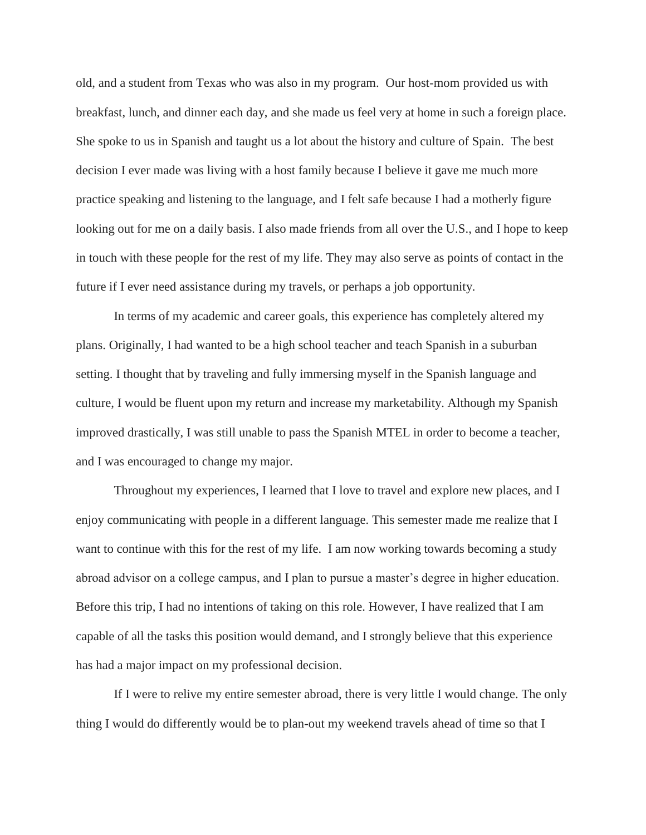old, and a student from Texas who was also in my program. Our host-mom provided us with breakfast, lunch, and dinner each day, and she made us feel very at home in such a foreign place. She spoke to us in Spanish and taught us a lot about the history and culture of Spain. The best decision I ever made was living with a host family because I believe it gave me much more practice speaking and listening to the language, and I felt safe because I had a motherly figure looking out for me on a daily basis. I also made friends from all over the U.S., and I hope to keep in touch with these people for the rest of my life. They may also serve as points of contact in the future if I ever need assistance during my travels, or perhaps a job opportunity.

In terms of my academic and career goals, this experience has completely altered my plans. Originally, I had wanted to be a high school teacher and teach Spanish in a suburban setting. I thought that by traveling and fully immersing myself in the Spanish language and culture, I would be fluent upon my return and increase my marketability. Although my Spanish improved drastically, I was still unable to pass the Spanish MTEL in order to become a teacher, and I was encouraged to change my major.

Throughout my experiences, I learned that I love to travel and explore new places, and I enjoy communicating with people in a different language. This semester made me realize that I want to continue with this for the rest of my life. I am now working towards becoming a study abroad advisor on a college campus, and I plan to pursue a master's degree in higher education. Before this trip, I had no intentions of taking on this role. However, I have realized that I am capable of all the tasks this position would demand, and I strongly believe that this experience has had a major impact on my professional decision.

If I were to relive my entire semester abroad, there is very little I would change. The only thing I would do differently would be to plan-out my weekend travels ahead of time so that I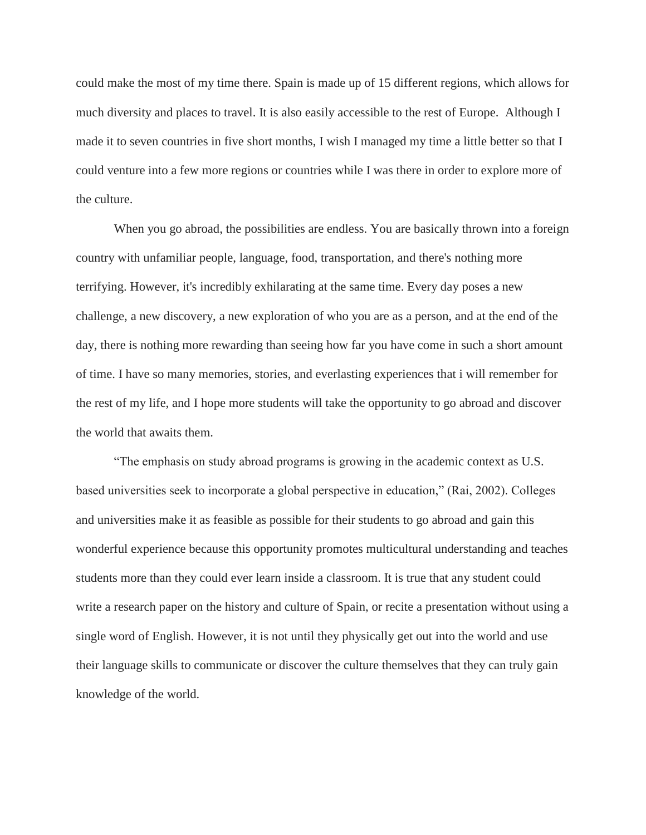could make the most of my time there. Spain is made up of 15 different regions, which allows for much diversity and places to travel. It is also easily accessible to the rest of Europe. Although I made it to seven countries in five short months, I wish I managed my time a little better so that I could venture into a few more regions or countries while I was there in order to explore more of the culture.

When you go abroad, the possibilities are endless. You are basically thrown into a foreign country with unfamiliar people, language, food, transportation, and there's nothing more terrifying. However, it's incredibly exhilarating at the same time. Every day poses a new challenge, a new discovery, a new exploration of who you are as a person, and at the end of the day, there is nothing more rewarding than seeing how far you have come in such a short amount of time. I have so many memories, stories, and everlasting experiences that i will remember for the rest of my life, and I hope more students will take the opportunity to go abroad and discover the world that awaits them.

"The emphasis on study abroad programs is growing in the academic context as U.S. based universities seek to incorporate a global perspective in education," (Rai, 2002). Colleges and universities make it as feasible as possible for their students to go abroad and gain this wonderful experience because this opportunity promotes multicultural understanding and teaches students more than they could ever learn inside a classroom. It is true that any student could write a research paper on the history and culture of Spain, or recite a presentation without using a single word of English. However, it is not until they physically get out into the world and use their language skills to communicate or discover the culture themselves that they can truly gain knowledge of the world.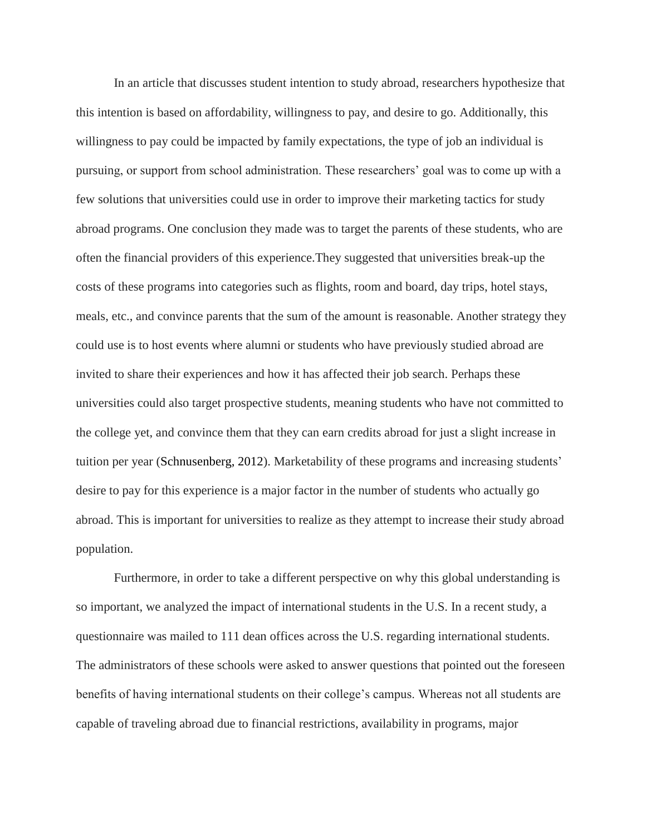In an article that discusses student intention to study abroad, researchers hypothesize that this intention is based on affordability, willingness to pay, and desire to go. Additionally, this willingness to pay could be impacted by family expectations, the type of job an individual is pursuing, or support from school administration. These researchers' goal was to come up with a few solutions that universities could use in order to improve their marketing tactics for study abroad programs. One conclusion they made was to target the parents of these students, who are often the financial providers of this experience.They suggested that universities break-up the costs of these programs into categories such as flights, room and board, day trips, hotel stays, meals, etc., and convince parents that the sum of the amount is reasonable. Another strategy they could use is to host events where alumni or students who have previously studied abroad are invited to share their experiences and how it has affected their job search. Perhaps these universities could also target prospective students, meaning students who have not committed to the college yet, and convince them that they can earn credits abroad for just a slight increase in tuition per year (Schnusenberg, 2012). Marketability of these programs and increasing students' desire to pay for this experience is a major factor in the number of students who actually go abroad. This is important for universities to realize as they attempt to increase their study abroad population.

Furthermore, in order to take a different perspective on why this global understanding is so important, we analyzed the impact of international students in the U.S. In a recent study, a questionnaire was mailed to 111 dean offices across the U.S. regarding international students. The administrators of these schools were asked to answer questions that pointed out the foreseen benefits of having international students on their college's campus. Whereas not all students are capable of traveling abroad due to financial restrictions, availability in programs, major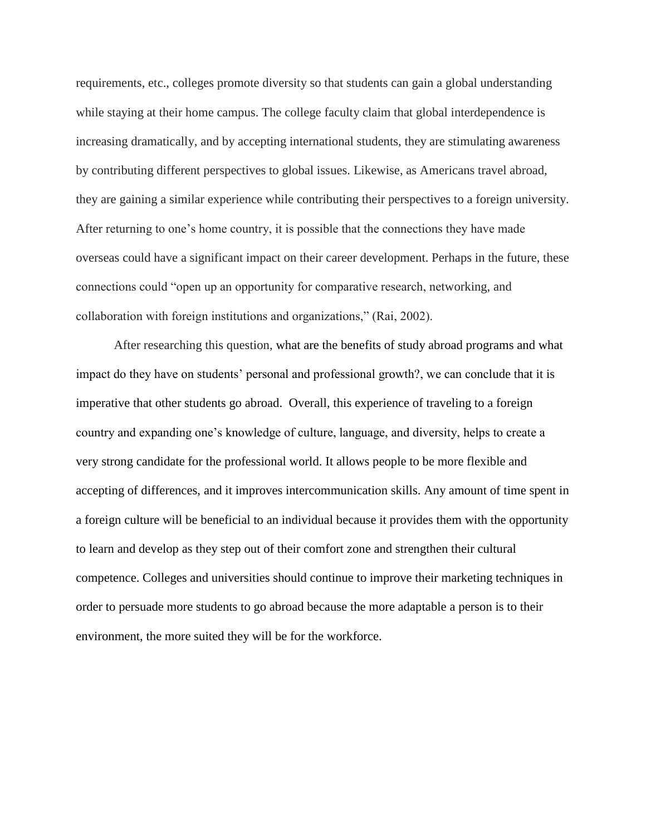requirements, etc., colleges promote diversity so that students can gain a global understanding while staying at their home campus. The college faculty claim that global interdependence is increasing dramatically, and by accepting international students, they are stimulating awareness by contributing different perspectives to global issues. Likewise, as Americans travel abroad, they are gaining a similar experience while contributing their perspectives to a foreign university. After returning to one's home country, it is possible that the connections they have made overseas could have a significant impact on their career development. Perhaps in the future, these connections could "open up an opportunity for comparative research, networking, and collaboration with foreign institutions and organizations," (Rai, 2002).

After researching this question, what are the benefits of study abroad programs and what impact do they have on students' personal and professional growth?, we can conclude that it is imperative that other students go abroad. Overall, this experience of traveling to a foreign country and expanding one's knowledge of culture, language, and diversity, helps to create a very strong candidate for the professional world. It allows people to be more flexible and accepting of differences, and it improves intercommunication skills. Any amount of time spent in a foreign culture will be beneficial to an individual because it provides them with the opportunity to learn and develop as they step out of their comfort zone and strengthen their cultural competence. Colleges and universities should continue to improve their marketing techniques in order to persuade more students to go abroad because the more adaptable a person is to their environment, the more suited they will be for the workforce.